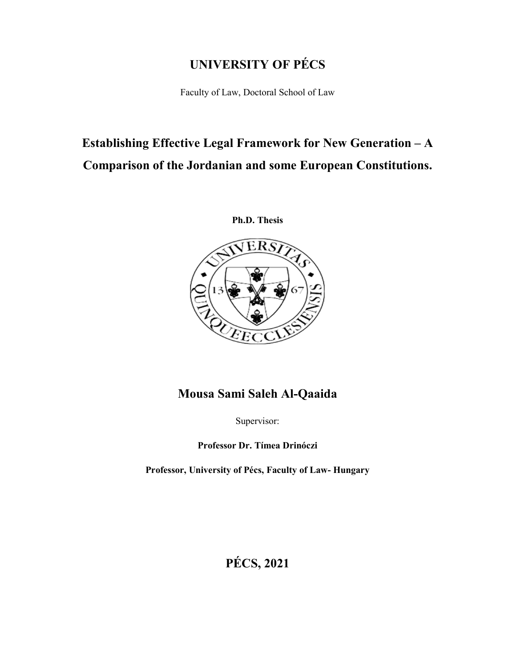# **UNIVERSITY OF PÉCS**

Faculty of Law, Doctoral School of Law

# **Establishing Effective Legal Framework for New Generation – A Comparison of the Jordanian and some European Constitutions.**





# **Mousa Sami Saleh Al-Qaaida**

Supervisor:

**Professor Dr. Tímea Drinóczi**

**Professor, University of Pécs, Faculty of Law- Hungary**

**PÉCS, 2021**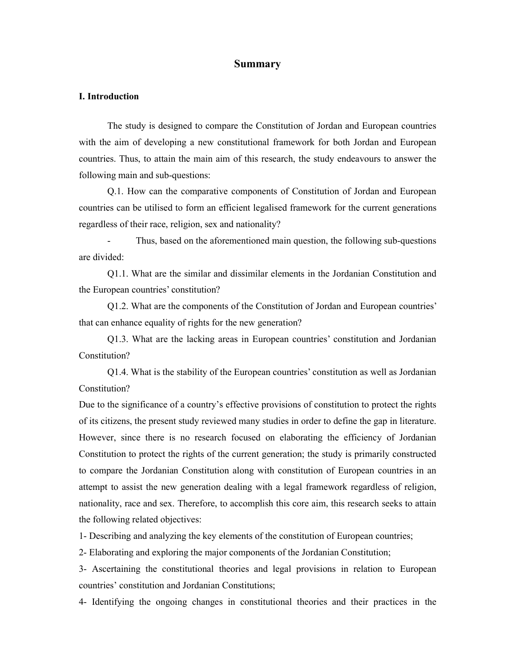# **Summary**

#### **I. Introduction**

The study is designed to compare the Constitution of Jordan and European countries with the aim of developing a new constitutional framework for both Jordan and European countries. Thus, to attain the main aim of this research, the study endeavours to answer the following main and sub-questions:

Q.1. How can the comparative components of Constitution of Jordan and European countries can be utilised to form an efficient legalised framework for the current generations regardless of their race, religion, sex and nationality?

Thus, based on the aforementioned main question, the following sub-questions are divided:

Q1.1. What are the similar and dissimilar elements in the Jordanian Constitution and the European countries' constitution?

Q1.2. What are the components of the Constitution of Jordan and European countries' that can enhance equality of rights for the new generation?

Q1.3. What are the lacking areas in European countries' constitution and Jordanian Constitution?

Q1.4. What is the stability of the European countries' constitution as well as Jordanian Constitution?

Due to the significance of a country's effective provisions of constitution to protect the rights of its citizens, the present study reviewed many studies in order to define the gap in literature. However, since there is no research focused on elaborating the efficiency of Jordanian Constitution to protect the rights of the current generation; the study is primarily constructed to compare the Jordanian Constitution along with constitution of European countries in an attempt to assist the new generation dealing with a legal framework regardless of religion, nationality, race and sex. Therefore, to accomplish this core aim, this research seeks to attain the following related objectives:

1- Describing and analyzing the key elements of the constitution of European countries;

2- Elaborating and exploring the major components of the Jordanian Constitution;

3- Ascertaining the constitutional theories and legal provisions in relation to European countries' constitution and Jordanian Constitutions;

4- Identifying the ongoing changes in constitutional theories and their practices in the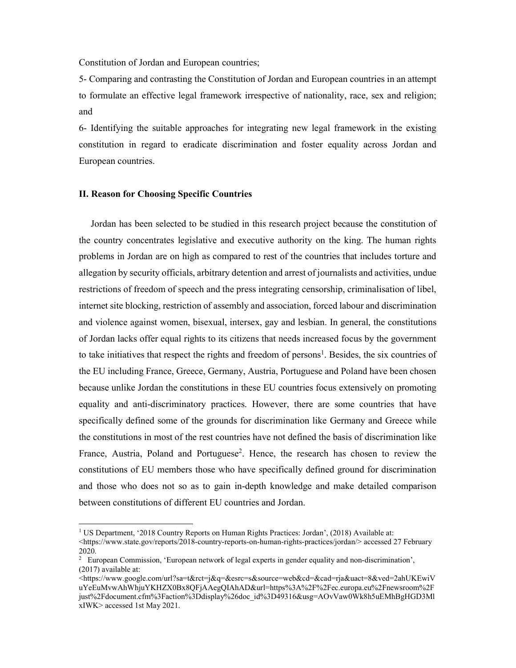Constitution of Jordan and European countries;

5- Comparing and contrasting the Constitution of Jordan and European countries in an attempt to formulate an effective legal framework irrespective of nationality, race, sex and religion; and

6- Identifying the suitable approaches for integrating new legal framework in the existing constitution in regard to eradicate discrimination and foster equality across Jordan and European countries.

# **II. Reason for Choosing Specific Countries**

 $\overline{a}$ 

 Jordan has been selected to be studied in this research project because the constitution of the country concentrates legislative and executive authority on the king. The human rights problems in Jordan are on high as compared to rest of the countries that includes torture and allegation by security officials, arbitrary detention and arrest of journalists and activities, undue restrictions of freedom of speech and the press integrating censorship, criminalisation of libel, internet site blocking, restriction of assembly and association, forced labour and discrimination and violence against women, bisexual, intersex, gay and lesbian. In general, the constitutions of Jordan lacks offer equal rights to its citizens that needs increased focus by the government to take initiatives that respect the rights and freedom of persons<sup>1</sup>. Besides, the six countries of the EU including France, Greece, Germany, Austria, Portuguese and Poland have been chosen because unlike Jordan the constitutions in these EU countries focus extensively on promoting equality and anti-discriminatory practices. However, there are some countries that have specifically defined some of the grounds for discrimination like Germany and Greece while the constitutions in most of the rest countries have not defined the basis of discrimination like France, Austria, Poland and Portuguese<sup>2</sup>. Hence, the research has chosen to review the constitutions of EU members those who have specifically defined ground for discrimination and those who does not so as to gain in-depth knowledge and make detailed comparison between constitutions of different EU countries and Jordan.

<sup>&</sup>lt;sup>1</sup> US Department, '2018 Country Reports on Human Rights Practices: Jordan', (2018) Available at:

<sup>&</sup>lt;https://www.state.gov/reports/2018-country-reports-on-human-rights-practices/jordan/> accessed 27 February 2020.

<sup>2</sup> European Commission, 'European network of legal experts in gender equality and non-discrimination', (2017) available at:

<sup>&</sup>lt;https://www.google.com/url?sa=t&rct=j&q=&esrc=s&source=web&cd=&cad=rja&uact=8&ved=2ahUKEwiV uYeEuMvwAhWhjuYKHZX0Bx8QFjAAegQIAhAD&url=https%3A%2F%2Fec.europa.eu%2Fnewsroom%2F just%2Fdocument.cfm%3Faction%3Ddisplay%26doc\_id%3D49316&usg=AOvVaw0Wk8h5uEMhBgHGD3Ml xIWK> accessed 1st May 2021.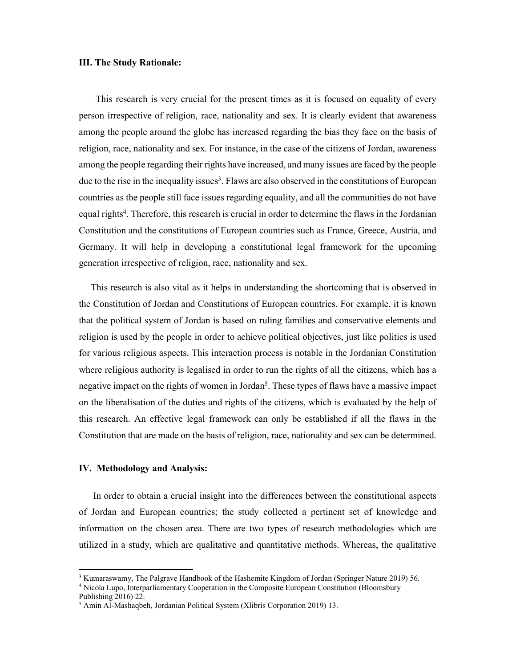#### **III. The Study Rationale:**

This research is very crucial for the present times as it is focused on equality of every person irrespective of religion, race, nationality and sex. It is clearly evident that awareness among the people around the globe has increased regarding the bias they face on the basis of religion, race, nationality and sex. For instance, in the case of the citizens of Jordan, awareness among the people regarding their rights have increased, and many issues are faced by the people due to the rise in the inequality issues<sup>3</sup>. Flaws are also observed in the constitutions of European countries as the people still face issues regarding equality, and all the communities do not have equal rights<sup>4</sup>. Therefore, this research is crucial in order to determine the flaws in the Jordanian Constitution and the constitutions of European countries such as France, Greece, Austria, and Germany. It will help in developing a constitutional legal framework for the upcoming generation irrespective of religion, race, nationality and sex.

 This research is also vital as it helps in understanding the shortcoming that is observed in the Constitution of Jordan and Constitutions of European countries. For example, it is known that the political system of Jordan is based on ruling families and conservative elements and religion is used by the people in order to achieve political objectives, just like politics is used for various religious aspects. This interaction process is notable in the Jordanian Constitution where religious authority is legalised in order to run the rights of all the citizens, which has a negative impact on the rights of women in Jordan<sup>5</sup>. These types of flaws have a massive impact on the liberalisation of the duties and rights of the citizens, which is evaluated by the help of this research. An effective legal framework can only be established if all the flaws in the Constitution that are made on the basis of religion, race, nationality and sex can be determined.

### **IV. Methodology and Analysis:**

 In order to obtain a crucial insight into the differences between the constitutional aspects of Jordan and European countries; the study collected a pertinent set of knowledge and information on the chosen area. There are two types of research methodologies which are utilized in a study, which are qualitative and quantitative methods. Whereas, the qualitative

**.** 

<sup>&</sup>lt;sup>3</sup> Kumaraswamy, The Palgrave Handbook of the Hashemite Kingdom of Jordan (Springer Nature 2019) 56.

<sup>&</sup>lt;sup>4</sup> Nicola Lupo, Interparliamentary Cooperation in the Composite European Constitution (Bloomsbury

Publishing 2016) 22.

<sup>5</sup> Amin Al-Mashaqbeh, Jordanian Political System (Xlibris Corporation 2019) 13.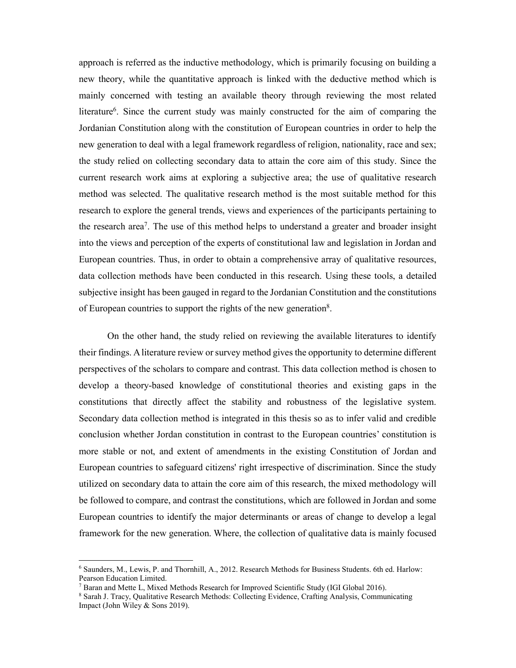approach is referred as the inductive methodology, which is primarily focusing on building a new theory, while the quantitative approach is linked with the deductive method which is mainly concerned with testing an available theory through reviewing the most related literature<sup>6</sup>. Since the current study was mainly constructed for the aim of comparing the Jordanian Constitution along with the constitution of European countries in order to help the new generation to deal with a legal framework regardless of religion, nationality, race and sex; the study relied on collecting secondary data to attain the core aim of this study. Since the current research work aims at exploring a subjective area; the use of qualitative research method was selected. The qualitative research method is the most suitable method for this research to explore the general trends, views and experiences of the participants pertaining to the research area7. The use of this method helps to understand a greater and broader insight into the views and perception of the experts of constitutional law and legislation in Jordan and European countries. Thus, in order to obtain a comprehensive array of qualitative resources, data collection methods have been conducted in this research. Using these tools, a detailed subjective insight has been gauged in regard to the Jordanian Constitution and the constitutions of European countries to support the rights of the new generation<sup>8</sup>.

On the other hand, the study relied on reviewing the available literatures to identify their findings. A literature review or survey method gives the opportunity to determine different perspectives of the scholars to compare and contrast. This data collection method is chosen to develop a theory-based knowledge of constitutional theories and existing gaps in the constitutions that directly affect the stability and robustness of the legislative system. Secondary data collection method is integrated in this thesis so as to infer valid and credible conclusion whether Jordan constitution in contrast to the European countries' constitution is more stable or not, and extent of amendments in the existing Constitution of Jordan and European countries to safeguard citizens' right irrespective of discrimination. Since the study utilized on secondary data to attain the core aim of this research, the mixed methodology will be followed to compare, and contrast the constitutions, which are followed in Jordan and some European countries to identify the major determinants or areas of change to develop a legal framework for the new generation. Where, the collection of qualitative data is mainly focused

**.** 

<sup>6</sup> Saunders, M., Lewis, P. and Thornhill, A., 2012. Research Methods for Business Students. 6th ed. Harlow: Pearson Education Limited.

<sup>&</sup>lt;sup>7</sup> Baran and Mette L, Mixed Methods Research for Improved Scientific Study (IGI Global 2016).

<sup>8</sup> Sarah J. Tracy, Qualitative Research Methods: Collecting Evidence, Crafting Analysis, Communicating Impact (John Wiley & Sons 2019).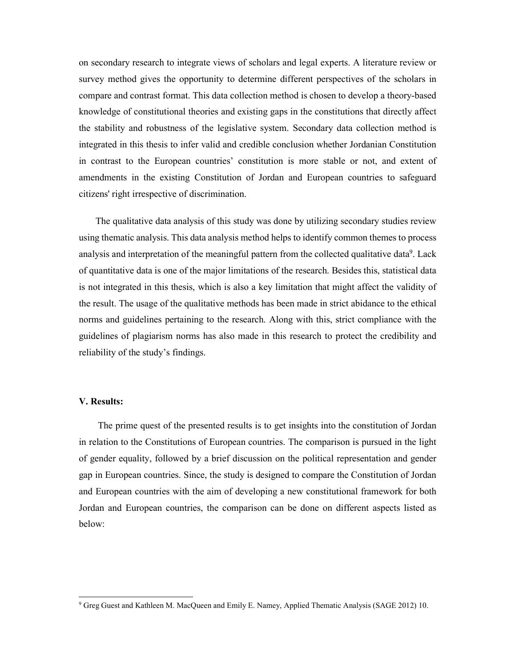on secondary research to integrate views of scholars and legal experts. A literature review or survey method gives the opportunity to determine different perspectives of the scholars in compare and contrast format. This data collection method is chosen to develop a theory-based knowledge of constitutional theories and existing gaps in the constitutions that directly affect the stability and robustness of the legislative system. Secondary data collection method is integrated in this thesis to infer valid and credible conclusion whether Jordanian Constitution in contrast to the European countries' constitution is more stable or not, and extent of amendments in the existing Constitution of Jordan and European countries to safeguard citizens' right irrespective of discrimination.

The qualitative data analysis of this study was done by utilizing secondary studies review using thematic analysis. This data analysis method helps to identify common themes to process analysis and interpretation of the meaningful pattern from the collected qualitative data<sup>9</sup>. Lack of quantitative data is one of the major limitations of the research. Besides this, statistical data is not integrated in this thesis, which is also a key limitation that might affect the validity of the result. The usage of the qualitative methods has been made in strict abidance to the ethical norms and guidelines pertaining to the research. Along with this, strict compliance with the guidelines of plagiarism norms has also made in this research to protect the credibility and reliability of the study's findings.

#### **V. Results:**

1

 The prime quest of the presented results is to get insights into the constitution of Jordan in relation to the Constitutions of European countries. The comparison is pursued in the light of gender equality, followed by a brief discussion on the political representation and gender gap in European countries. Since, the study is designed to compare the Constitution of Jordan and European countries with the aim of developing a new constitutional framework for both Jordan and European countries, the comparison can be done on different aspects listed as below:

<sup>9</sup> Greg Guest and Kathleen M. MacQueen and Emily E. Namey, Applied Thematic Analysis (SAGE 2012) 10.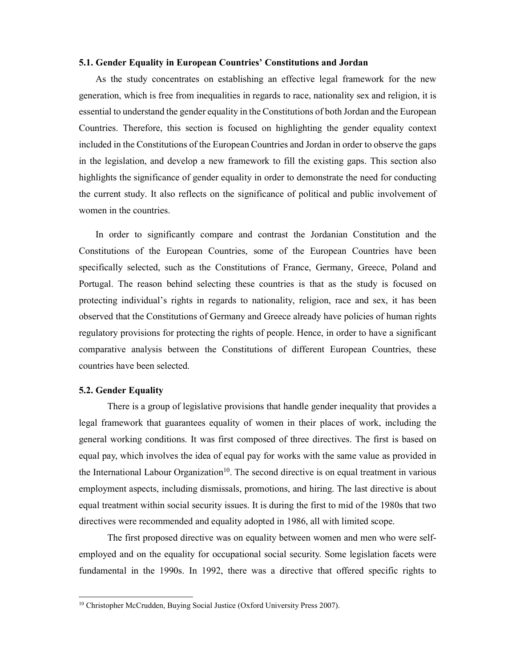#### **5.1. Gender Equality in European Countries' Constitutions and Jordan**

As the study concentrates on establishing an effective legal framework for the new generation, which is free from inequalities in regards to race, nationality sex and religion, it is essential to understand the gender equality in the Constitutions of both Jordan and the European Countries. Therefore, this section is focused on highlighting the gender equality context included in the Constitutions of the European Countries and Jordan in order to observe the gaps in the legislation, and develop a new framework to fill the existing gaps. This section also highlights the significance of gender equality in order to demonstrate the need for conducting the current study. It also reflects on the significance of political and public involvement of women in the countries.

In order to significantly compare and contrast the Jordanian Constitution and the Constitutions of the European Countries, some of the European Countries have been specifically selected, such as the Constitutions of France, Germany, Greece, Poland and Portugal. The reason behind selecting these countries is that as the study is focused on protecting individual's rights in regards to nationality, religion, race and sex, it has been observed that the Constitutions of Germany and Greece already have policies of human rights regulatory provisions for protecting the rights of people. Hence, in order to have a significant comparative analysis between the Constitutions of different European Countries, these countries have been selected.

#### **5.2. Gender Equality**

1

There is a group of legislative provisions that handle gender inequality that provides a legal framework that guarantees equality of women in their places of work, including the general working conditions. It was first composed of three directives. The first is based on equal pay, which involves the idea of equal pay for works with the same value as provided in the International Labour Organization<sup>10</sup>. The second directive is on equal treatment in various employment aspects, including dismissals, promotions, and hiring. The last directive is about equal treatment within social security issues. It is during the first to mid of the 1980s that two directives were recommended and equality adopted in 1986, all with limited scope.

The first proposed directive was on equality between women and men who were selfemployed and on the equality for occupational social security. Some legislation facets were fundamental in the 1990s. In 1992, there was a directive that offered specific rights to

<sup>&</sup>lt;sup>10</sup> Christopher McCrudden, Buying Social Justice (Oxford University Press 2007).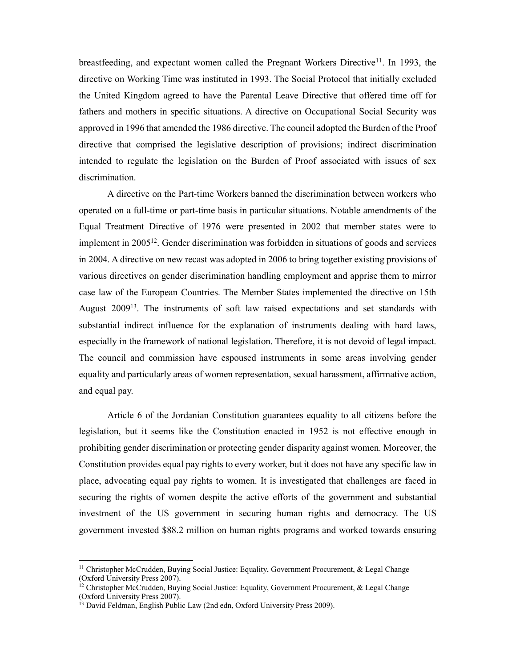breastfeeding, and expectant women called the Pregnant Workers Directive<sup>11</sup>. In 1993, the directive on Working Time was instituted in 1993. The Social Protocol that initially excluded the United Kingdom agreed to have the Parental Leave Directive that offered time off for fathers and mothers in specific situations. A directive on Occupational Social Security was approved in 1996 that amended the 1986 directive. The council adopted the Burden of the Proof directive that comprised the legislative description of provisions; indirect discrimination intended to regulate the legislation on the Burden of Proof associated with issues of sex discrimination.

A directive on the Part-time Workers banned the discrimination between workers who operated on a full-time or part-time basis in particular situations. Notable amendments of the Equal Treatment Directive of 1976 were presented in 2002 that member states were to implement in 200512. Gender discrimination was forbidden in situations of goods and services in 2004. A directive on new recast was adopted in 2006 to bring together existing provisions of various directives on gender discrimination handling employment and apprise them to mirror case law of the European Countries. The Member States implemented the directive on 15th August 2009<sup>13</sup>. The instruments of soft law raised expectations and set standards with substantial indirect influence for the explanation of instruments dealing with hard laws, especially in the framework of national legislation. Therefore, it is not devoid of legal impact. The council and commission have espoused instruments in some areas involving gender equality and particularly areas of women representation, sexual harassment, affirmative action, and equal pay.

Article 6 of the Jordanian Constitution guarantees equality to all citizens before the legislation, but it seems like the Constitution enacted in 1952 is not effective enough in prohibiting gender discrimination or protecting gender disparity against women. Moreover, the Constitution provides equal pay rights to every worker, but it does not have any specific law in place, advocating equal pay rights to women. It is investigated that challenges are faced in securing the rights of women despite the active efforts of the government and substantial investment of the US government in securing human rights and democracy. The US government invested \$88.2 million on human rights programs and worked towards ensuring

**.** 

<sup>&</sup>lt;sup>11</sup> Christopher McCrudden, Buying Social Justice: Equality, Government Procurement, & Legal Change (Oxford University Press 2007).

<sup>&</sup>lt;sup>12</sup> Christopher McCrudden, Buying Social Justice: Equality, Government Procurement, & Legal Change (Oxford University Press 2007).

<sup>&</sup>lt;sup>13</sup> David Feldman, English Public Law (2nd edn, Oxford University Press 2009).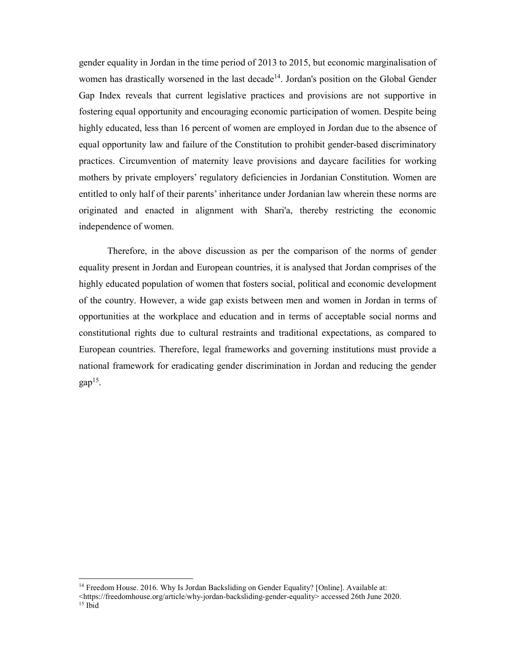gender equality in Jordan in the time period of 2013 to 2015, but economic marginalisation of women has drastically worsened in the last decade<sup>14</sup>. Jordan's position on the Global Gender Gap Index reveals that current legislative practices and provisions are not supportive in fostering equal opportunity and encouraging economic participation of women. Despite being highly educated, less than 16 percent of women are employed in Jordan due to the absence of equal opportunity law and failure of the Constitution to prohibit gender-based discriminatory practices. Circumvention of maternity leave provisions and daycare facilities for working mothers by private employers' regulatory deficiencies in Jordanian Constitution. Women are entitled to only half of their parents' inheritance under Jordanian law wherein these norms are originated and enacted in alignment with Shari'a, thereby restricting the economic independence of women.

Therefore, in the above discussion as per the comparison of the norms of gender equality present in Jordan and European countries, it is analysed that Jordan comprises of the highly educated population of women that fosters social, political and economic development of the country. However, a wide gap exists between men and women in Jordan in terms of opportunities at the workplace and education and in terms of acceptable social norms and constitutional rights due to cultural restraints and traditional expectations, as compared to European countries. Therefore, legal frameworks and governing institutions must provide a national framework for eradicating gender discrimination in Jordan and reducing the gender  $qap^{15}$ .

<sup>&</sup>lt;sup>14</sup> Freedom House. 2016. Why Is Jordan Backsliding on Gender Equality? [Online]. Available at:

<sup>&</sup>lt;https://freedomhouse.org/article/why-jordan-backsliding-gender-equality> accessed 26th June 2020.  $15$  Ibid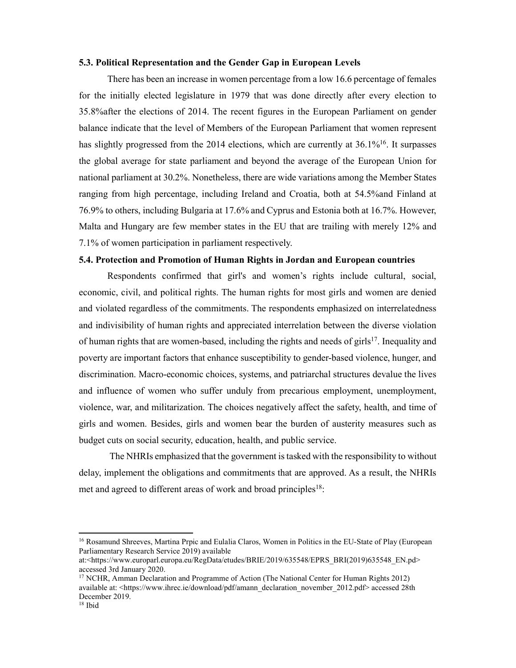#### **5.3. Political Representation and the Gender Gap in European Levels**

There has been an increase in women percentage from a low 16.6 percentage of females for the initially elected legislature in 1979 that was done directly after every election to 35.8%after the elections of 2014. The recent figures in the European Parliament on gender balance indicate that the level of Members of the European Parliament that women represent has slightly progressed from the 2014 elections, which are currently at  $36.1\%$ <sup>16</sup>. It surpasses the global average for state parliament and beyond the average of the European Union for national parliament at 30.2%. Nonetheless, there are wide variations among the Member States ranging from high percentage, including Ireland and Croatia, both at 54.5%and Finland at 76.9% to others, including Bulgaria at 17.6% and Cyprus and Estonia both at 16.7%. However, Malta and Hungary are few member states in the EU that are trailing with merely 12% and 7.1% of women participation in parliament respectively.

# **5.4. Protection and Promotion of Human Rights in Jordan and European countries**

Respondents confirmed that girl's and women's rights include cultural, social, economic, civil, and political rights. The human rights for most girls and women are denied and violated regardless of the commitments. The respondents emphasized on interrelatedness and indivisibility of human rights and appreciated interrelation between the diverse violation of human rights that are women-based, including the rights and needs of girls<sup>17</sup>. Inequality and poverty are important factors that enhance susceptibility to gender-based violence, hunger, and discrimination. Macro-economic choices, systems, and patriarchal structures devalue the lives and influence of women who suffer unduly from precarious employment, unemployment, violence, war, and militarization. The choices negatively affect the safety, health, and time of girls and women. Besides, girls and women bear the burden of austerity measures such as budget cuts on social security, education, health, and public service.

The NHRIs emphasized that the government is tasked with the responsibility to without delay, implement the obligations and commitments that are approved. As a result, the NHRIs met and agreed to different areas of work and broad principles<sup>18</sup>:

<sup>&</sup>lt;sup>16</sup> Rosamund Shreeves, Martina Prpic and Eulalia Claros, Women in Politics in the EU-State of Play (European Parliamentary Research Service 2019) available

at:<https://www.europarl.europa.eu/RegData/etudes/BRIE/2019/635548/EPRS\_BRI(2019)635548\_EN.pd> accessed 3rd January 2020.

<sup>&</sup>lt;sup>17</sup> NCHR, Amman Declaration and Programme of Action (The National Center for Human Rights 2012) available at: <https://www.ihrec.ie/download/pdf/amann\_declaration\_november\_2012.pdf> accessed 28th December 2019.

<sup>18</sup> Ibid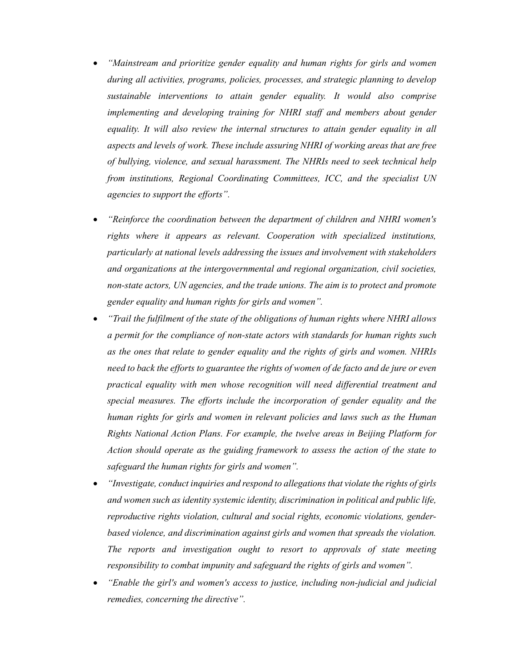- *"Mainstream and prioritize gender equality and human rights for girls and women during all activities, programs, policies, processes, and strategic planning to develop sustainable interventions to attain gender equality. It would also comprise implementing and developing training for NHRI staff and members about gender equality. It will also review the internal structures to attain gender equality in all aspects and levels of work. These include assuring NHRI of working areas that are free of bullying, violence, and sexual harassment. The NHRIs need to seek technical help from institutions, Regional Coordinating Committees, ICC, and the specialist UN agencies to support the efforts".*
- *"Reinforce the coordination between the department of children and NHRI women's rights where it appears as relevant. Cooperation with specialized institutions, particularly at national levels addressing the issues and involvement with stakeholders and organizations at the intergovernmental and regional organization, civil societies, non-state actors, UN agencies, and the trade unions. The aim is to protect and promote gender equality and human rights for girls and women".*
- *"Trail the fulfilment of the state of the obligations of human rights where NHRI allows a permit for the compliance of non-state actors with standards for human rights such as the ones that relate to gender equality and the rights of girls and women. NHRIs need to back the efforts to guarantee the rights of women of de facto and de jure or even practical equality with men whose recognition will need differential treatment and special measures. The efforts include the incorporation of gender equality and the human rights for girls and women in relevant policies and laws such as the Human Rights National Action Plans. For example, the twelve areas in Beijing Platform for Action should operate as the guiding framework to assess the action of the state to safeguard the human rights for girls and women".*
- *"Investigate, conduct inquiries and respond to allegations that violate the rights of girls and women such as identity systemic identity, discrimination in political and public life, reproductive rights violation, cultural and social rights, economic violations, genderbased violence, and discrimination against girls and women that spreads the violation. The reports and investigation ought to resort to approvals of state meeting responsibility to combat impunity and safeguard the rights of girls and women".*
- *"Enable the girl's and women's access to justice, including non-judicial and judicial remedies, concerning the directive".*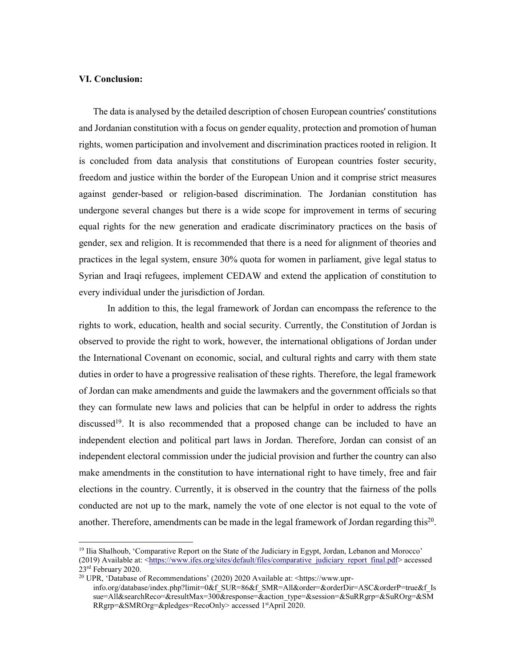### **VI. Conclusion:**

1

The data is analysed by the detailed description of chosen European countries' constitutions and Jordanian constitution with a focus on gender equality, protection and promotion of human rights, women participation and involvement and discrimination practices rooted in religion. It is concluded from data analysis that constitutions of European countries foster security, freedom and justice within the border of the European Union and it comprise strict measures against gender-based or religion-based discrimination. The Jordanian constitution has undergone several changes but there is a wide scope for improvement in terms of securing equal rights for the new generation and eradicate discriminatory practices on the basis of gender, sex and religion. It is recommended that there is a need for alignment of theories and practices in the legal system, ensure 30% quota for women in parliament, give legal status to Syrian and Iraqi refugees, implement CEDAW and extend the application of constitution to every individual under the jurisdiction of Jordan.

In addition to this, the legal framework of Jordan can encompass the reference to the rights to work, education, health and social security. Currently, the Constitution of Jordan is observed to provide the right to work, however, the international obligations of Jordan under the International Covenant on economic, social, and cultural rights and carry with them state duties in order to have a progressive realisation of these rights. Therefore, the legal framework of Jordan can make amendments and guide the lawmakers and the government officials so that they can formulate new laws and policies that can be helpful in order to address the rights discussed<sup>19</sup>. It is also recommended that a proposed change can be included to have an independent election and political part laws in Jordan. Therefore, Jordan can consist of an independent electoral commission under the judicial provision and further the country can also make amendments in the constitution to have international right to have timely, free and fair elections in the country. Currently, it is observed in the country that the fairness of the polls conducted are not up to the mark, namely the vote of one elector is not equal to the vote of another. Therefore, amendments can be made in the legal framework of Jordan regarding this20.

<sup>&</sup>lt;sup>19</sup> Ilia Shalhoub, 'Comparative Report on the State of the Judiciary in Egypt, Jordan, Lebanon and Morocco' (2019) Available at: <https://www.ifes.org/sites/default/files/comparative\_judiciary\_report\_final.pdf> accessed 23rd February 2020.

<sup>20</sup> UPR, 'Database of Recommendations' (2020) 2020 Available at: <https://www.uprinfo.org/database/index.php?limit=0&f\_SUR=86&f\_SMR=All&order=&orderDir=ASC&orderP=true&f\_Is sue=All&searchReco=&resultMax=300&response=&action\_type=&session=&SuRRgrp=&SuROrg=&SM RRgrp=&SMROrg=&pledges=RecoOnly> accessed 1stApril 2020.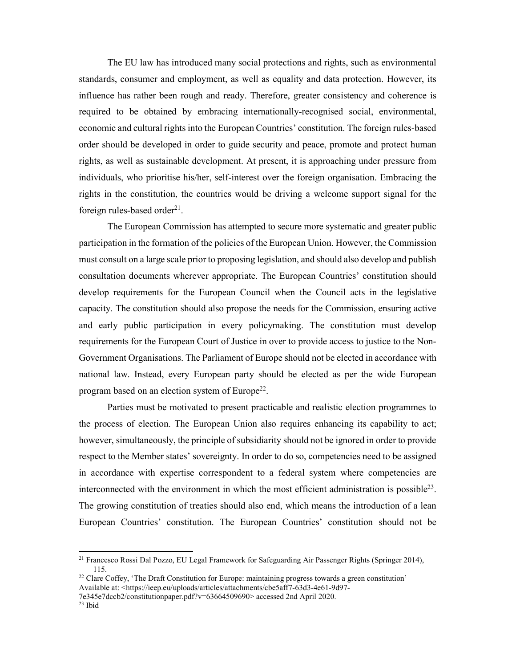The EU law has introduced many social protections and rights, such as environmental standards, consumer and employment, as well as equality and data protection. However, its influence has rather been rough and ready. Therefore, greater consistency and coherence is required to be obtained by embracing internationally-recognised social, environmental, economic and cultural rights into the European Countries' constitution. The foreign rules-based order should be developed in order to guide security and peace, promote and protect human rights, as well as sustainable development. At present, it is approaching under pressure from individuals, who prioritise his/her, self-interest over the foreign organisation. Embracing the rights in the constitution, the countries would be driving a welcome support signal for the foreign rules-based order $^{21}$ .

The European Commission has attempted to secure more systematic and greater public participation in the formation of the policies of the European Union. However, the Commission must consult on a large scale prior to proposing legislation, and should also develop and publish consultation documents wherever appropriate. The European Countries' constitution should develop requirements for the European Council when the Council acts in the legislative capacity. The constitution should also propose the needs for the Commission, ensuring active and early public participation in every policymaking. The constitution must develop requirements for the European Court of Justice in over to provide access to justice to the Non-Government Organisations. The Parliament of Europe should not be elected in accordance with national law. Instead, every European party should be elected as per the wide European program based on an election system of Europe<sup>22</sup>.

Parties must be motivated to present practicable and realistic election programmes to the process of election. The European Union also requires enhancing its capability to act; however, simultaneously, the principle of subsidiarity should not be ignored in order to provide respect to the Member states' sovereignty. In order to do so, competencies need to be assigned in accordance with expertise correspondent to a federal system where competencies are interconnected with the environment in which the most efficient administration is possible<sup>23</sup>. The growing constitution of treaties should also end, which means the introduction of a lean European Countries' constitution. The European Countries' constitution should not be

<sup>21</sup> Francesco Rossi Dal Pozzo, EU Legal Framework for Safeguarding Air Passenger Rights (Springer 2014), 115.

 $^{22}$  Clare Coffey, 'The Draft Constitution for Europe: maintaining progress towards a green constitution' Available at: <https://ieep.eu/uploads/articles/attachments/cbe5aff7-63d3-4e61-9d97-

<sup>7</sup>e345e7dccb2/constitutionpaper.pdf?v=63664509690> accessed 2nd April 2020.

<sup>23</sup> Ibid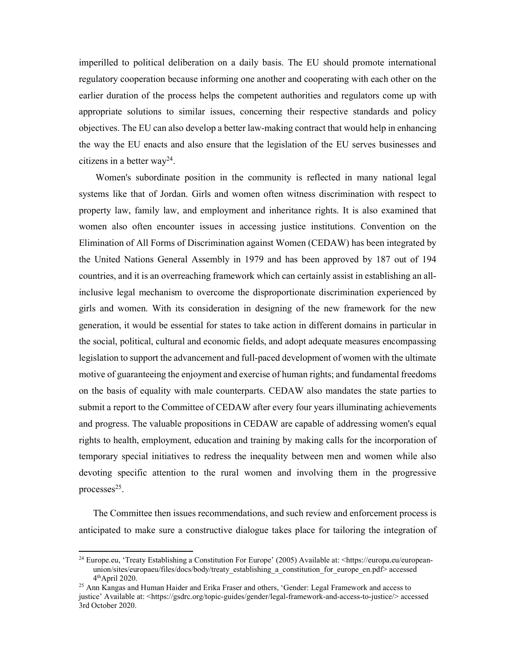imperilled to political deliberation on a daily basis. The EU should promote international regulatory cooperation because informing one another and cooperating with each other on the earlier duration of the process helps the competent authorities and regulators come up with appropriate solutions to similar issues, concerning their respective standards and policy objectives. The EU can also develop a better law-making contract that would help in enhancing the way the EU enacts and also ensure that the legislation of the EU serves businesses and citizens in a better way<sup>24</sup>.

Women's subordinate position in the community is reflected in many national legal systems like that of Jordan. Girls and women often witness discrimination with respect to property law, family law, and employment and inheritance rights. It is also examined that women also often encounter issues in accessing justice institutions. Convention on the Elimination of All Forms of Discrimination against Women (CEDAW) has been integrated by the United Nations General Assembly in 1979 and has been approved by 187 out of 194 countries, and it is an overreaching framework which can certainly assist in establishing an allinclusive legal mechanism to overcome the disproportionate discrimination experienced by girls and women. With its consideration in designing of the new framework for the new generation, it would be essential for states to take action in different domains in particular in the social, political, cultural and economic fields, and adopt adequate measures encompassing legislation to support the advancement and full-paced development of women with the ultimate motive of guaranteeing the enjoyment and exercise of human rights; and fundamental freedoms on the basis of equality with male counterparts. CEDAW also mandates the state parties to submit a report to the Committee of CEDAW after every four years illuminating achievements and progress. The valuable propositions in CEDAW are capable of addressing women's equal rights to health, employment, education and training by making calls for the incorporation of temporary special initiatives to redress the inequality between men and women while also devoting specific attention to the rural women and involving them in the progressive processes $25$ .

The Committee then issues recommendations, and such review and enforcement process is anticipated to make sure a constructive dialogue takes place for tailoring the integration of

<sup>24</sup> Europe.eu, 'Treaty Establishing a Constitution For Europe' (2005) Available at: <https://europa.eu/europeanunion/sites/europaeu/files/docs/body/treaty\_establishing\_a\_constitution\_for\_europe\_en.pdf> accessed  $4<sup>th</sup>$ April 2020.

<sup>&</sup>lt;sup>25</sup> Ann Kangas and Human Haider and Erika Fraser and others, 'Gender: Legal Framework and access to justice' Available at: <https://gsdrc.org/topic-guides/gender/legal-framework-and-access-to-justice/> accessed 3rd October 2020.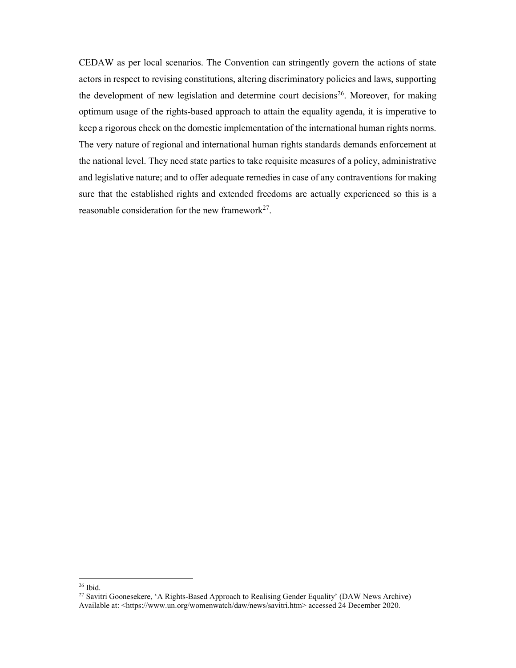CEDAW as per local scenarios. The Convention can stringently govern the actions of state actors in respect to revising constitutions, altering discriminatory policies and laws, supporting the development of new legislation and determine court decisions<sup>26</sup>. Moreover, for making optimum usage of the rights-based approach to attain the equality agenda, it is imperative to keep a rigorous check on the domestic implementation of the international human rights norms. The very nature of regional and international human rights standards demands enforcement at the national level. They need state parties to take requisite measures of a policy, administrative and legislative nature; and to offer adequate remedies in case of any contraventions for making sure that the established rights and extended freedoms are actually experienced so this is a reasonable consideration for the new framework<sup>27</sup>.

<sup>26</sup> Ibid.

<sup>27</sup> Savitri Goonesekere, 'A Rights-Based Approach to Realising Gender Equality' (DAW News Archive) Available at: <https://www.un.org/womenwatch/daw/news/savitri.htm> accessed 24 December 2020.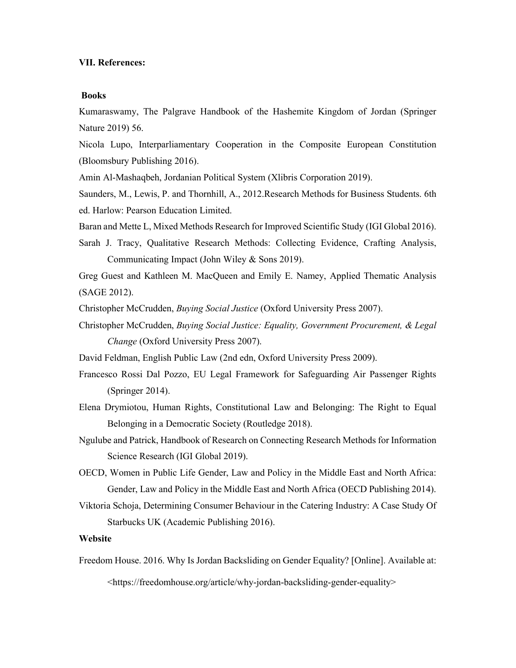#### **VII. References:**

#### **Books**

Kumaraswamy, The Palgrave Handbook of the Hashemite Kingdom of Jordan (Springer Nature 2019) 56.

Nicola Lupo, Interparliamentary Cooperation in the Composite European Constitution (Bloomsbury Publishing 2016).

Amin Al-Mashaqbeh, Jordanian Political System (Xlibris Corporation 2019).

Saunders, M., Lewis, P. and Thornhill, A., 2012.Research Methods for Business Students. 6th ed. Harlow: Pearson Education Limited.

Baran and Mette L, Mixed Methods Research for Improved Scientific Study (IGI Global 2016).

Sarah J. Tracy, Qualitative Research Methods: Collecting Evidence, Crafting Analysis, Communicating Impact (John Wiley & Sons 2019).

Greg Guest and Kathleen M. MacQueen and Emily E. Namey, Applied Thematic Analysis (SAGE 2012).

Christopher McCrudden, *Buying Social Justice* (Oxford University Press 2007).

Christopher McCrudden, *Buying Social Justice: Equality, Government Procurement, & Legal Change* (Oxford University Press 2007).

David Feldman, English Public Law (2nd edn, Oxford University Press 2009).

Francesco Rossi Dal Pozzo, EU Legal Framework for Safeguarding Air Passenger Rights (Springer 2014).

Elena Drymiotou, Human Rights, Constitutional Law and Belonging: The Right to Equal Belonging in a Democratic Society (Routledge 2018).

- Ngulube and Patrick, Handbook of Research on Connecting Research Methods for Information Science Research (IGI Global 2019).
- OECD, Women in Public Life Gender, Law and Policy in the Middle East and North Africa: Gender, Law and Policy in the Middle East and North Africa (OECD Publishing 2014).
- Viktoria Schoja, Determining Consumer Behaviour in the Catering Industry: A Case Study Of Starbucks UK (Academic Publishing 2016).

# **Website**

Freedom House. 2016. Why Is Jordan Backsliding on Gender Equality? [Online]. Available at:

<https://freedomhouse.org/article/why-jordan-backsliding-gender-equality>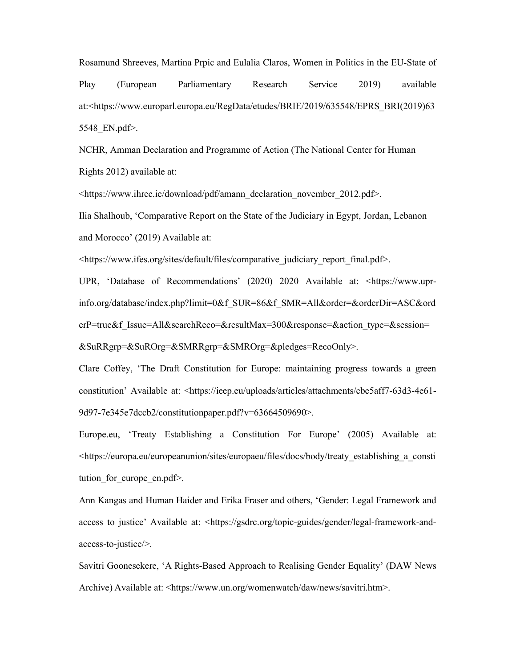Rosamund Shreeves, Martina Prpic and Eulalia Claros, Women in Politics in the EU-State of Play (European Parliamentary Research Service 2019) available at:<https://www.europarl.europa.eu/RegData/etudes/BRIE/2019/635548/EPRS\_BRI(2019)63 5548\_EN.pdf>.

NCHR, Amman Declaration and Programme of Action (The National Center for Human Rights 2012) available at:

<https://www.ihrec.ie/download/pdf/amann\_declaration\_november\_2012.pdf>.

Ilia Shalhoub, 'Comparative Report on the State of the Judiciary in Egypt, Jordan, Lebanon and Morocco' (2019) Available at:

<https://www.ifes.org/sites/default/files/comparative\_judiciary\_report\_final.pdf>.

UPR, 'Database of Recommendations' (2020) 2020 Available at: <https://www.uprinfo.org/database/index.php?limit=0&f\_SUR=86&f\_SMR=All&order=&orderDir=ASC&ord erP=true&f\_Issue=All&searchReco=&resultMax=300&response=&action\_type=&session= &SuRRgrp=&SuROrg=&SMRRgrp=&SMROrg=&pledges=RecoOnly>.

Clare Coffey, 'The Draft Constitution for Europe: maintaining progress towards a green constitution' Available at: <https://ieep.eu/uploads/articles/attachments/cbe5aff7-63d3-4e61- 9d97-7e345e7dccb2/constitutionpaper.pdf?v=63664509690>.

Europe.eu, 'Treaty Establishing a Constitution For Europe' (2005) Available at: <https://europa.eu/europeanunion/sites/europaeu/files/docs/body/treaty\_establishing\_a\_consti tution for europe en.pdf>.

Ann Kangas and Human Haider and Erika Fraser and others, 'Gender: Legal Framework and access to justice' Available at: <https://gsdrc.org/topic-guides/gender/legal-framework-andaccess-to-justice/>.

Savitri Goonesekere, 'A Rights-Based Approach to Realising Gender Equality' (DAW News Archive) Available at: <https://www.un.org/womenwatch/daw/news/savitri.htm>.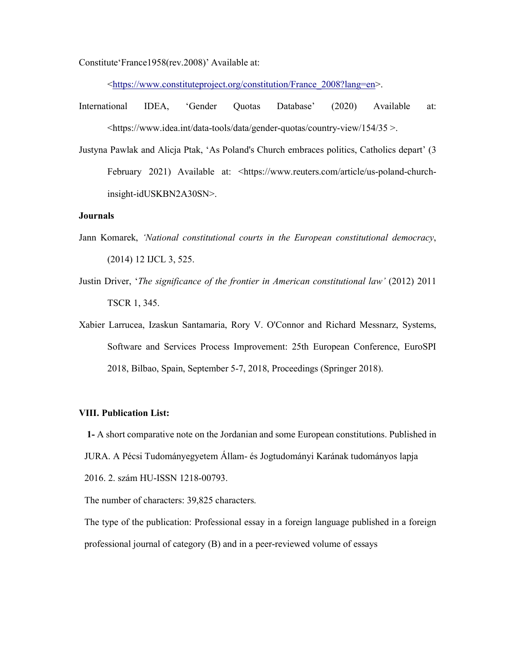Constitute'France1958(rev.2008)' Available at:

<https://www.constituteproject.org/constitution/France\_2008?lang=en>.

- International IDEA, 'Gender Quotas Database' (2020) Available at: <https://www.idea.int/data-tools/data/gender-quotas/country-view/154/35 >.
- Justyna Pawlak and Alicja Ptak, 'As Poland's Church embraces politics, Catholics depart' (3 February 2021) Available at: <https://www.reuters.com/article/us-poland-churchinsight-idUSKBN2A30SN>.

#### **Journals**

- Jann Komarek, *'National constitutional courts in the European constitutional democracy*, (2014) 12 IJCL 3, 525.
- Justin Driver, '*The significance of the frontier in American constitutional law'* (2012) 2011 TSCR 1, 345.
- Xabier Larrucea, Izaskun Santamaria, Rory V. O'Connor and Richard Messnarz, Systems, Software and Services Process Improvement: 25th European Conference, EuroSPI 2018, Bilbao, Spain, September 5-7, 2018, Proceedings (Springer 2018).

#### **VIII. Publication List:**

**1-** A short comparative note on the Jordanian and some European constitutions. Published in JURA. A Pécsi Tudományegyetem Állam- és Jogtudományi Karának tudományos lapja 2016. 2. szám HU-ISSN 1218-00793.

The number of characters: 39,825 characters.

The type of the publication: Professional essay in a foreign language published in a foreign professional journal of category (B) and in a peer-reviewed volume of essays